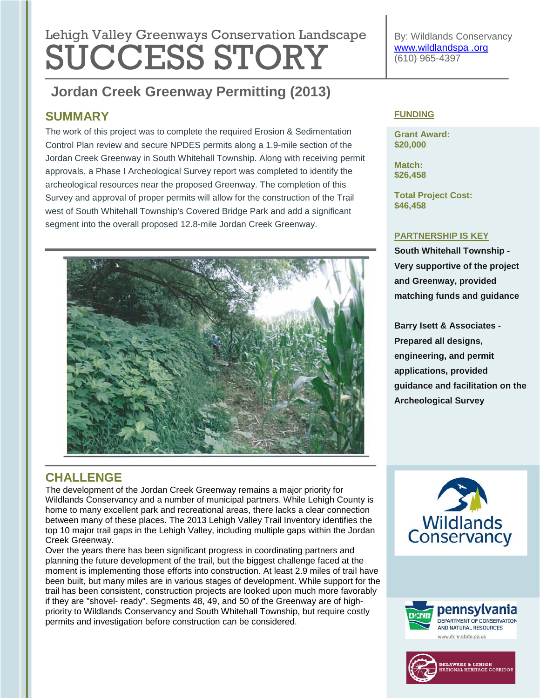# **Lebish Velley Que environmental regulation Lengtheres** Lehigh Valley Greenways Conservation Landscape SUCCESS STORY

#### **Urban Forestry Phase IV & Assist Green Infrastructure/Street Jordan Creek Greenway Permitting (2013)**

### **SUMMARY**

The work of this project was to complete the required Erosion & Sedimentation Control Plan review and secure NPDES permits along a 1.9-mile section of the Jordan Creek Greenway in South Whitehall Township. Along with receiving permit approvals, a Phase I Archeological Survey report was completed to identify the archeological resources near the proposed Greenway. The completion of this Survey and approval of proper permits will allow for the construction of the Trail west of South Whitehall Township's Covered Bridge Park and add a significant segment into the overall proposed 12.8-mile Jordan Creek Greenway.



#### By: Wildlands Conservancy [www.wildlandspa .org](http://www.wildlandspa.org/) (610) 965-4397

#### **FUNDING**

**Grant Award: \$20,000**

**Match: \$26,458**

**Total Project Cost: \$46,458**

#### **PARTNERSHIP IS KEY**

**South Whitehall Township - Very supportive of the project and Greenway, provided matching funds and guidance**

**Barry Isett & Associates - Prepared all designs, engineering, and permit applications, provided guidance and facilitation on the Archeological Survey**

# **CHALLENGE**

The development of the Jordan Creek Greenway remains a major priority for Wildlands Conservancy and a number of municipal partners. While Lehigh County is home to many excellent park and recreational areas, there lacks a clear connection between many of these places. The 2013 Lehigh Valley Trail Inventory identifies the top 10 major trail gaps in the Lehigh Valley, including multiple gaps within the Jordan Creek Greenway.

Over the years there has been significant progress in coordinating partners and planning the future development of the trail, but the biggest challenge faced at the moment is implementing those efforts into construction. At least 2.9 miles of trail have been built, but many miles are in various stages of development. While support for the trail has been consistent, construction projects are looked upon much more favorably if they are "shovel- ready". Segments 48, 49, and 50 of the Greenway are of highpriority to Wildlands Conservancy and South Whitehall Township, but require costly permits and investigation before construction can be considered.